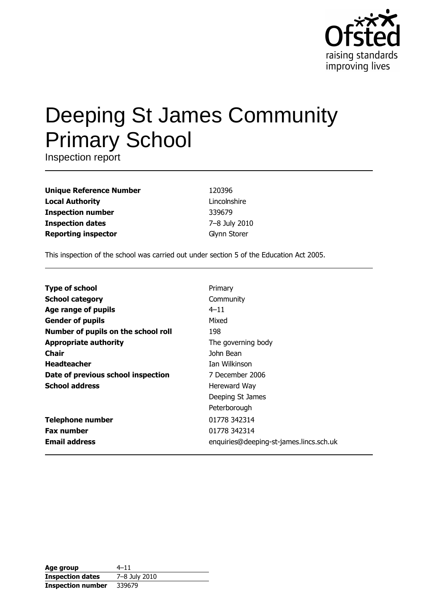

# **Deeping St James Community Primary School**

Inspection report

**Unique Reference Number Local Authority Inspection number Inspection dates Reporting inspector** 

120396 Lincolnshire 339679 7-8 July 2010 Glynn Storer

This inspection of the school was carried out under section 5 of the Education Act 2005.

| <b>Type of school</b>               | Primary                                 |
|-------------------------------------|-----------------------------------------|
| <b>School category</b>              | Community                               |
| Age range of pupils                 | $4 - 11$                                |
| <b>Gender of pupils</b>             | Mixed                                   |
| Number of pupils on the school roll | 198                                     |
| <b>Appropriate authority</b>        | The governing body                      |
| Chair                               | John Bean                               |
| <b>Headteacher</b>                  | <b>Tan Wilkinson</b>                    |
| Date of previous school inspection  | 7 December 2006                         |
| <b>School address</b>               | Hereward Way                            |
|                                     | Deeping St James                        |
|                                     | Peterborough                            |
| <b>Telephone number</b>             | 01778 342314                            |
| <b>Fax number</b>                   | 01778 342314                            |
| <b>Email address</b>                | enquiries@deeping-st-james.lincs.sch.uk |

| Age group                | $4 - 11$      |
|--------------------------|---------------|
| <b>Inspection dates</b>  | 7-8 July 2010 |
| <b>Inspection number</b> | 339679        |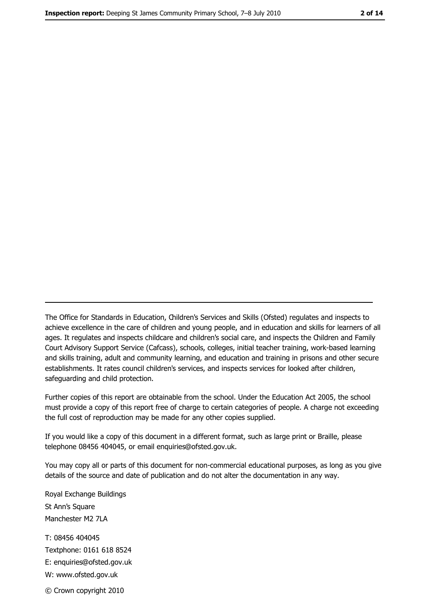The Office for Standards in Education, Children's Services and Skills (Ofsted) regulates and inspects to achieve excellence in the care of children and young people, and in education and skills for learners of all ages. It regulates and inspects childcare and children's social care, and inspects the Children and Family Court Advisory Support Service (Cafcass), schools, colleges, initial teacher training, work-based learning and skills training, adult and community learning, and education and training in prisons and other secure establishments. It rates council children's services, and inspects services for looked after children, safequarding and child protection.

Further copies of this report are obtainable from the school. Under the Education Act 2005, the school must provide a copy of this report free of charge to certain categories of people. A charge not exceeding the full cost of reproduction may be made for any other copies supplied.

If you would like a copy of this document in a different format, such as large print or Braille, please telephone 08456 404045, or email enquiries@ofsted.gov.uk.

You may copy all or parts of this document for non-commercial educational purposes, as long as you give details of the source and date of publication and do not alter the documentation in any way.

Royal Exchange Buildings St Ann's Square Manchester M2 7LA T: 08456 404045 Textphone: 0161 618 8524 E: enquiries@ofsted.gov.uk W: www.ofsted.gov.uk © Crown copyright 2010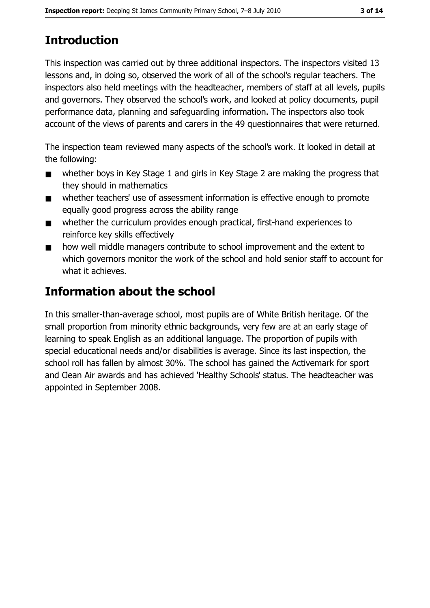# **Introduction**

This inspection was carried out by three additional inspectors. The inspectors visited 13 lessons and, in doing so, observed the work of all of the school's regular teachers. The inspectors also held meetings with the headteacher, members of staff at all levels, pupils and governors. They observed the school's work, and looked at policy documents, pupil performance data, planning and safeguarding information. The inspectors also took account of the views of parents and carers in the 49 questionnaires that were returned.

The inspection team reviewed many aspects of the school's work. It looked in detail at the following:

- whether boys in Key Stage 1 and girls in Key Stage 2 are making the progress that  $\blacksquare$ they should in mathematics
- whether teachers' use of assessment information is effective enough to promote  $\blacksquare$ equally good progress across the ability range
- whether the curriculum provides enough practical, first-hand experiences to  $\blacksquare$ reinforce key skills effectively
- how well middle managers contribute to school improvement and the extent to  $\blacksquare$ which governors monitor the work of the school and hold senior staff to account for what it achieves.

# **Information about the school**

In this smaller-than-average school, most pupils are of White British heritage. Of the small proportion from minority ethnic backgrounds, very few are at an early stage of learning to speak English as an additional language. The proportion of pupils with special educational needs and/or disabilities is average. Since its last inspection, the school roll has fallen by almost 30%. The school has gained the Activemark for sport and Clean Air awards and has achieved 'Healthy Schools' status. The headteacher was appointed in September 2008.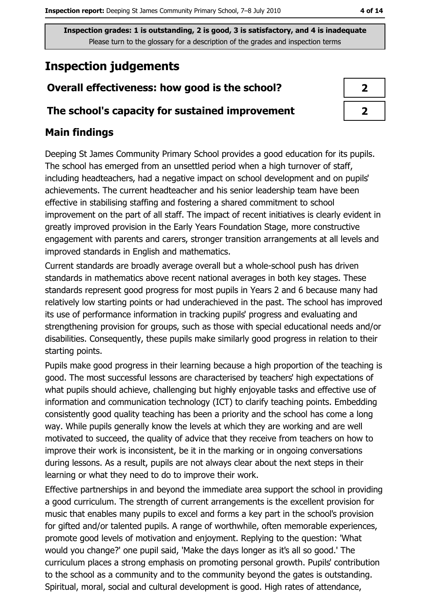# **Inspection judgements**

## Overall effectiveness: how good is the school?

#### The school's capacity for sustained improvement

#### **Main findings**

Deeping St James Community Primary School provides a good education for its pupils. The school has emerged from an unsettled period when a high turnover of staff, including headteachers, had a negative impact on school development and on pupils' achievements. The current headteacher and his senior leadership team have been effective in stabilising staffing and fostering a shared commitment to school improvement on the part of all staff. The impact of recent initiatives is clearly evident in greatly improved provision in the Early Years Foundation Stage, more constructive engagement with parents and carers, stronger transition arrangements at all levels and improved standards in English and mathematics.

Current standards are broadly average overall but a whole-school push has driven standards in mathematics above recent national averages in both key stages. These standards represent good progress for most pupils in Years 2 and 6 because many had relatively low starting points or had underachieved in the past. The school has improved its use of performance information in tracking pupils' progress and evaluating and strengthening provision for groups, such as those with special educational needs and/or disabilities. Consequently, these pupils make similarly good progress in relation to their starting points.

Pupils make good progress in their learning because a high proportion of the teaching is good. The most successful lessons are characterised by teachers' high expectations of what pupils should achieve, challenging but highly enjoyable tasks and effective use of information and communication technology (ICT) to clarify teaching points. Embedding consistently good quality teaching has been a priority and the school has come a long way. While pupils generally know the levels at which they are working and are well motivated to succeed, the quality of advice that they receive from teachers on how to improve their work is inconsistent, be it in the marking or in ongoing conversations during lessons. As a result, pupils are not always clear about the next steps in their learning or what they need to do to improve their work.

Effective partnerships in and beyond the immediate area support the school in providing a good curriculum. The strength of current arrangements is the excellent provision for music that enables many pupils to excel and forms a key part in the school's provision for gifted and/or talented pupils. A range of worthwhile, often memorable experiences, promote good levels of motivation and enjoyment. Replying to the question: 'What would you change?' one pupil said, 'Make the days longer as it's all so good.' The curriculum places a strong emphasis on promoting personal growth. Pupils' contribution to the school as a community and to the community beyond the gates is outstanding. Spiritual, moral, social and cultural development is good. High rates of attendance,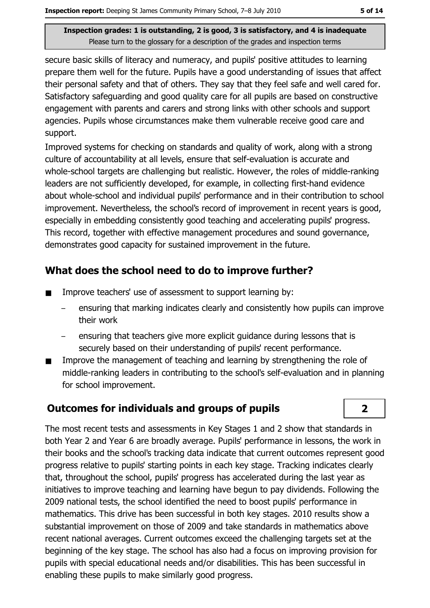secure basic skills of literacy and numeracy, and pupils' positive attitudes to learning prepare them well for the future. Pupils have a good understanding of issues that affect their personal safety and that of others. They say that they feel safe and well cared for. Satisfactory safeguarding and good quality care for all pupils are based on constructive engagement with parents and carers and strong links with other schools and support agencies. Pupils whose circumstances make them vulnerable receive good care and support.

Improved systems for checking on standards and quality of work, along with a strong culture of accountability at all levels, ensure that self-evaluation is accurate and whole-school targets are challenging but realistic. However, the roles of middle-ranking leaders are not sufficiently developed, for example, in collecting first-hand evidence about whole-school and individual pupils' performance and in their contribution to school improvement. Nevertheless, the school's record of improvement in recent years is good, especially in embedding consistently good teaching and accelerating pupils' progress. This record, together with effective management procedures and sound governance, demonstrates good capacity for sustained improvement in the future.

## What does the school need to do to improve further?

- Improve teachers' use of assessment to support learning by:  $\blacksquare$ 
	- ensuring that marking indicates clearly and consistently how pupils can improve their work
	- ensuring that teachers give more explicit guidance during lessons that is securely based on their understanding of pupils' recent performance.
- Improve the management of teaching and learning by strengthening the role of  $\blacksquare$ middle-ranking leaders in contributing to the school's self-evaluation and in planning for school improvement.

## **Outcomes for individuals and groups of pupils**



The most recent tests and assessments in Key Stages 1 and 2 show that standards in both Year 2 and Year 6 are broadly average. Pupils' performance in lessons, the work in their books and the school's tracking data indicate that current outcomes represent good progress relative to pupils' starting points in each key stage. Tracking indicates clearly that, throughout the school, pupils' progress has accelerated during the last year as initiatives to improve teaching and learning have begun to pay dividends. Following the 2009 national tests, the school identified the need to boost pupils' performance in mathematics. This drive has been successful in both key stages, 2010 results show a substantial improvement on those of 2009 and take standards in mathematics above recent national averages. Current outcomes exceed the challenging targets set at the beginning of the key stage. The school has also had a focus on improving provision for pupils with special educational needs and/or disabilities. This has been successful in enabling these pupils to make similarly good progress.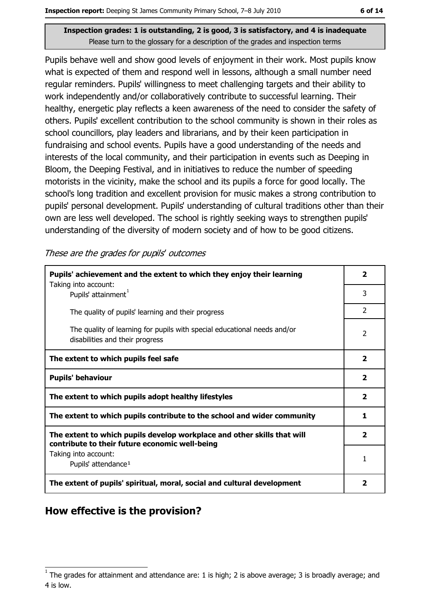Pupils behave well and show good levels of enjoyment in their work. Most pupils know what is expected of them and respond well in lessons, although a small number need regular reminders. Pupils' willingness to meet challenging targets and their ability to work independently and/or collaboratively contribute to successful learning. Their healthy, energetic play reflects a keen awareness of the need to consider the safety of others. Pupils' excellent contribution to the school community is shown in their roles as school councillors, play leaders and librarians, and by their keen participation in fundraising and school events. Pupils have a good understanding of the needs and interests of the local community, and their participation in events such as Deeping in Bloom, the Deeping Festival, and in initiatives to reduce the number of speeding motorists in the vicinity, make the school and its pupils a force for good locally. The school's long tradition and excellent provision for music makes a strong contribution to pupils' personal development. Pupils' understanding of cultural traditions other than their own are less well developed. The school is rightly seeking ways to strengthen pupils' understanding of the diversity of modern society and of how to be good citizens.

These are the grades for pupils' outcomes

| Pupils' achievement and the extent to which they enjoy their learning                                                     |               |  |  |
|---------------------------------------------------------------------------------------------------------------------------|---------------|--|--|
| Taking into account:<br>Pupils' attainment <sup>1</sup>                                                                   | 3             |  |  |
| The quality of pupils' learning and their progress                                                                        | $\mathcal{P}$ |  |  |
| The quality of learning for pupils with special educational needs and/or<br>disabilities and their progress               |               |  |  |
| The extent to which pupils feel safe                                                                                      | 2             |  |  |
| <b>Pupils' behaviour</b>                                                                                                  |               |  |  |
| The extent to which pupils adopt healthy lifestyles                                                                       |               |  |  |
| The extent to which pupils contribute to the school and wider community                                                   |               |  |  |
| The extent to which pupils develop workplace and other skills that will<br>contribute to their future economic well-being |               |  |  |
| Taking into account:<br>Pupils' attendance <sup>1</sup>                                                                   |               |  |  |
| The extent of pupils' spiritual, moral, social and cultural development                                                   |               |  |  |

## How effective is the provision?

The grades for attainment and attendance are: 1 is high; 2 is above average; 3 is broadly average; and 4 is low.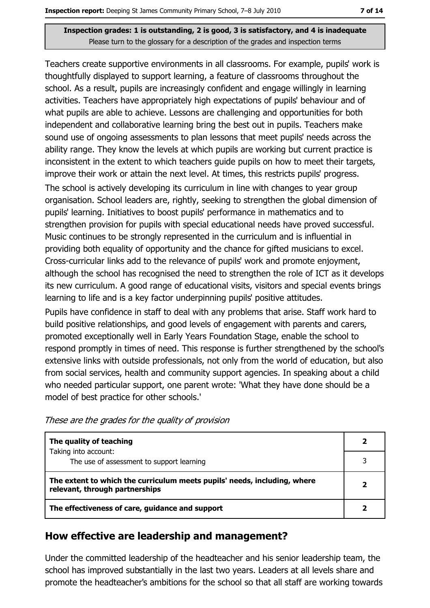Teachers create supportive environments in all classrooms. For example, pupils' work is thoughtfully displayed to support learning, a feature of classrooms throughout the school. As a result, pupils are increasingly confident and engage willingly in learning activities. Teachers have appropriately high expectations of pupils' behaviour and of what pupils are able to achieve. Lessons are challenging and opportunities for both independent and collaborative learning bring the best out in pupils. Teachers make sound use of ongoing assessments to plan lessons that meet pupils' needs across the ability range. They know the levels at which pupils are working but current practice is inconsistent in the extent to which teachers guide pupils on how to meet their targets, improve their work or attain the next level. At times, this restricts pupils' progress. The school is actively developing its curriculum in line with changes to year group organisation. School leaders are, rightly, seeking to strengthen the global dimension of pupils' learning. Initiatives to boost pupils' performance in mathematics and to strengthen provision for pupils with special educational needs have proved successful.

Music continues to be strongly represented in the curriculum and is influential in providing both equality of opportunity and the chance for gifted musicians to excel. Cross-curricular links add to the relevance of pupils' work and promote enjoyment, although the school has recognised the need to strengthen the role of ICT as it develops its new curriculum. A good range of educational visits, visitors and special events brings learning to life and is a key factor underpinning pupils' positive attitudes.

Pupils have confidence in staff to deal with any problems that arise. Staff work hard to build positive relationships, and good levels of engagement with parents and carers, promoted exceptionally well in Early Years Foundation Stage, enable the school to respond promptly in times of need. This response is further strengthened by the school's extensive links with outside professionals, not only from the world of education, but also from social services, health and community support agencies. In speaking about a child who needed particular support, one parent wrote: 'What they have done should be a model of best practice for other schools.'

| The quality of teaching                                                                                    |  |
|------------------------------------------------------------------------------------------------------------|--|
| Taking into account:<br>The use of assessment to support learning                                          |  |
| The extent to which the curriculum meets pupils' needs, including, where<br>relevant, through partnerships |  |
| The effectiveness of care, guidance and support                                                            |  |

## How effective are leadership and management?

Under the committed leadership of the headteacher and his senior leadership team, the school has improved substantially in the last two years. Leaders at all levels share and promote the headteacher's ambitions for the school so that all staff are working towards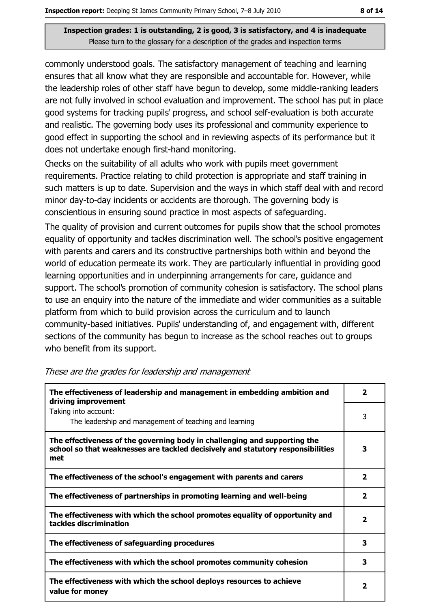commonly understood goals. The satisfactory management of teaching and learning ensures that all know what they are responsible and accountable for. However, while the leadership roles of other staff have begun to develop, some middle-ranking leaders are not fully involved in school evaluation and improvement. The school has put in place good systems for tracking pupils' progress, and school self-evaluation is both accurate and realistic. The governing body uses its professional and community experience to good effect in supporting the school and in reviewing aspects of its performance but it does not undertake enough first-hand monitoring.

Checks on the suitability of all adults who work with pupils meet government requirements. Practice relating to child protection is appropriate and staff training in such matters is up to date. Supervision and the ways in which staff deal with and record minor day-to-day incidents or accidents are thorough. The governing body is conscientious in ensuring sound practice in most aspects of safeguarding.

The quality of provision and current outcomes for pupils show that the school promotes equality of opportunity and tackles discrimination well. The school's positive engagement with parents and carers and its constructive partnerships both within and beyond the world of education permeate its work. They are particularly influential in providing good learning opportunities and in underpinning arrangements for care, guidance and support. The school's promotion of community cohesion is satisfactory. The school plans to use an enguiry into the nature of the immediate and wider communities as a suitable platform from which to build provision across the curriculum and to launch community-based initiatives. Pupils' understanding of, and engagement with, different sections of the community has begun to increase as the school reaches out to groups who benefit from its support.

| The effectiveness of leadership and management in embedding ambition and<br>driving improvement                                                                     |              |  |
|---------------------------------------------------------------------------------------------------------------------------------------------------------------------|--------------|--|
| Taking into account:<br>The leadership and management of teaching and learning                                                                                      | 3            |  |
| The effectiveness of the governing body in challenging and supporting the<br>school so that weaknesses are tackled decisively and statutory responsibilities<br>met | 3            |  |
| The effectiveness of the school's engagement with parents and carers                                                                                                | 2            |  |
| The effectiveness of partnerships in promoting learning and well-being                                                                                              | 2            |  |
| The effectiveness with which the school promotes equality of opportunity and<br>tackles discrimination                                                              | $\mathbf{2}$ |  |
| The effectiveness of safeguarding procedures                                                                                                                        | з            |  |
| The effectiveness with which the school promotes community cohesion                                                                                                 | 3            |  |
| The effectiveness with which the school deploys resources to achieve<br>value for money                                                                             | $\mathbf{2}$ |  |

#### These are the grades for leadership and management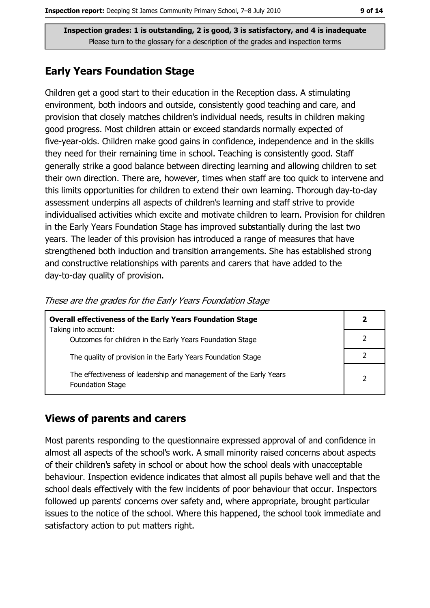#### **Early Years Foundation Stage**

Children get a good start to their education in the Reception class. A stimulating environment, both indoors and outside, consistently good teaching and care, and provision that closely matches children's individual needs, results in children making good progress. Most children attain or exceed standards normally expected of five-year-olds. Children make good gains in confidence, independence and in the skills they need for their remaining time in school. Teaching is consistently good. Staff generally strike a good balance between directing learning and allowing children to set their own direction. There are, however, times when staff are too quick to intervene and this limits opportunities for children to extend their own learning. Thorough day-to-day assessment underpins all aspects of children's learning and staff strive to provide individualised activities which excite and motivate children to learn. Provision for children in the Early Years Foundation Stage has improved substantially during the last two years. The leader of this provision has introduced a range of measures that have strengthened both induction and transition arrangements. She has established strong and constructive relationships with parents and carers that have added to the day-to-day quality of provision.

| <b>Overall effectiveness of the Early Years Foundation Stage</b><br>Taking into account:     | 2             |
|----------------------------------------------------------------------------------------------|---------------|
| Outcomes for children in the Early Years Foundation Stage                                    |               |
| The quality of provision in the Early Years Foundation Stage                                 |               |
| The effectiveness of leadership and management of the Early Years<br><b>Foundation Stage</b> | $\mathcal{P}$ |

| These are the grades for the Early Years Foundation Stage |  |  |  |
|-----------------------------------------------------------|--|--|--|
|                                                           |  |  |  |

#### **Views of parents and carers**

Most parents responding to the questionnaire expressed approval of and confidence in almost all aspects of the school's work. A small minority raised concerns about aspects of their children's safety in school or about how the school deals with unacceptable behaviour. Inspection evidence indicates that almost all pupils behave well and that the school deals effectively with the few incidents of poor behaviour that occur. Inspectors followed up parents' concerns over safety and, where appropriate, brought particular issues to the notice of the school. Where this happened, the school took immediate and satisfactory action to put matters right.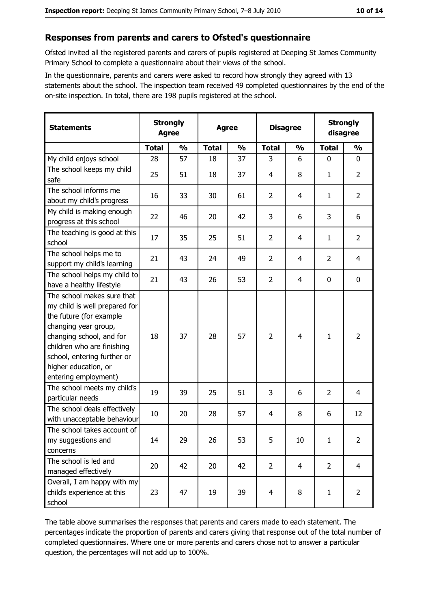#### Responses from parents and carers to Ofsted's questionnaire

Ofsted invited all the registered parents and carers of pupils registered at Deeping St James Community Primary School to complete a questionnaire about their views of the school.

In the questionnaire, parents and carers were asked to record how strongly they agreed with 13 statements about the school. The inspection team received 49 completed questionnaires by the end of the on-site inspection. In total, there are 198 pupils registered at the school.

| <b>Statements</b>                                                                                                                                                                                                                                       | <b>Strongly</b><br><b>Agree</b> |               | <b>Agree</b> |               |                |                | <b>Disagree</b> | <b>Strongly</b><br>disagree |  |
|---------------------------------------------------------------------------------------------------------------------------------------------------------------------------------------------------------------------------------------------------------|---------------------------------|---------------|--------------|---------------|----------------|----------------|-----------------|-----------------------------|--|
|                                                                                                                                                                                                                                                         | <b>Total</b>                    | $\frac{0}{0}$ | <b>Total</b> | $\frac{0}{0}$ | <b>Total</b>   | $\frac{0}{0}$  | <b>Total</b>    | $\frac{0}{0}$               |  |
| My child enjoys school                                                                                                                                                                                                                                  | 28                              | 57            | 18           | 37            | 3              | 6              | $\mathbf 0$     | $\mathbf 0$                 |  |
| The school keeps my child<br>safe                                                                                                                                                                                                                       | 25                              | 51            | 18           | 37            | 4              | 8              | 1               | $\overline{2}$              |  |
| The school informs me<br>about my child's progress                                                                                                                                                                                                      | 16                              | 33            | 30           | 61            | $\overline{2}$ | 4              | 1               | $\overline{2}$              |  |
| My child is making enough<br>progress at this school                                                                                                                                                                                                    | 22                              | 46            | 20           | 42            | 3              | 6              | 3               | 6                           |  |
| The teaching is good at this<br>school                                                                                                                                                                                                                  | 17                              | 35            | 25           | 51            | $\overline{2}$ | 4              | 1               | $\overline{2}$              |  |
| The school helps me to<br>support my child's learning                                                                                                                                                                                                   | 21                              | 43            | 24           | 49            | $\overline{2}$ | 4              | $\overline{2}$  | 4                           |  |
| The school helps my child to<br>have a healthy lifestyle                                                                                                                                                                                                | 21                              | 43            | 26           | 53            | $\overline{2}$ | 4              | $\mathbf 0$     | $\mathbf 0$                 |  |
| The school makes sure that<br>my child is well prepared for<br>the future (for example<br>changing year group,<br>changing school, and for<br>children who are finishing<br>school, entering further or<br>higher education, or<br>entering employment) | 18                              | 37            | 28           | 57            | $\overline{2}$ | $\overline{4}$ | $\mathbf{1}$    | $\overline{2}$              |  |
| The school meets my child's<br>particular needs                                                                                                                                                                                                         | 19                              | 39            | 25           | 51            | 3              | 6              | $\overline{2}$  | $\overline{4}$              |  |
| The school deals effectively<br>with unacceptable behaviour                                                                                                                                                                                             | 10                              | 20            | 28           | 57            | 4              | 8              | 6               | 12                          |  |
| The school takes account of<br>my suggestions and<br>concerns                                                                                                                                                                                           | 14                              | 29            | 26           | 53            | 5              | 10             | $\mathbf{1}$    | $\overline{2}$              |  |
| The school is led and<br>managed effectively                                                                                                                                                                                                            | 20                              | 42            | 20           | 42            | $\overline{2}$ | $\overline{4}$ | $\overline{2}$  | $\overline{4}$              |  |
| Overall, I am happy with my<br>child's experience at this<br>school                                                                                                                                                                                     | 23                              | 47            | 19           | 39            | $\overline{4}$ | 8              | 1               | $\overline{2}$              |  |

The table above summarises the responses that parents and carers made to each statement. The percentages indicate the proportion of parents and carers giving that response out of the total number of completed questionnaires. Where one or more parents and carers chose not to answer a particular question, the percentages will not add up to 100%.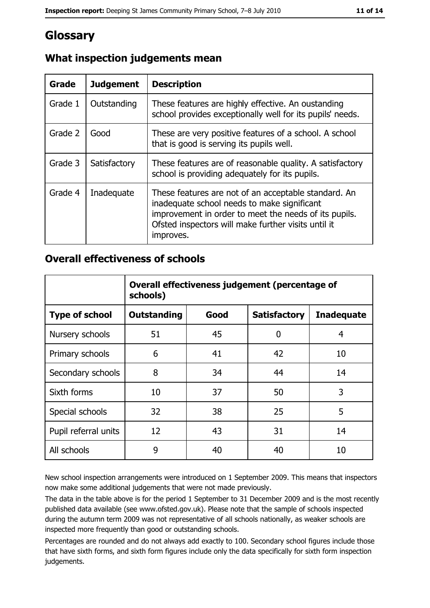# Glossary

| <b>Grade</b> | <b>Judgement</b> | <b>Description</b>                                                                                                                                                                                                               |
|--------------|------------------|----------------------------------------------------------------------------------------------------------------------------------------------------------------------------------------------------------------------------------|
| Grade 1      | Outstanding      | These features are highly effective. An oustanding<br>school provides exceptionally well for its pupils' needs.                                                                                                                  |
| Grade 2      | Good             | These are very positive features of a school. A school<br>that is good is serving its pupils well.                                                                                                                               |
| Grade 3      | Satisfactory     | These features are of reasonable quality. A satisfactory<br>school is providing adequately for its pupils.                                                                                                                       |
| Grade 4      | Inadequate       | These features are not of an acceptable standard. An<br>inadequate school needs to make significant<br>improvement in order to meet the needs of its pupils.<br>Ofsted inspectors will make further visits until it<br>improves. |

## What inspection judgements mean

#### **Overall effectiveness of schools**

|                       | Overall effectiveness judgement (percentage of<br>schools) |      |                     |                   |  |
|-----------------------|------------------------------------------------------------|------|---------------------|-------------------|--|
| <b>Type of school</b> | <b>Outstanding</b>                                         | Good | <b>Satisfactory</b> | <b>Inadequate</b> |  |
| Nursery schools       | 51                                                         | 45   | 0                   | 4                 |  |
| Primary schools       | 6                                                          | 41   | 42                  | 10                |  |
| Secondary schools     | 8                                                          | 34   | 44                  | 14                |  |
| Sixth forms           | 10                                                         | 37   | 50                  | 3                 |  |
| Special schools       | 32                                                         | 38   | 25                  | 5                 |  |
| Pupil referral units  | 12                                                         | 43   | 31                  | 14                |  |
| All schools           | 9                                                          | 40   | 40                  | 10                |  |

New school inspection arrangements were introduced on 1 September 2009. This means that inspectors now make some additional judgements that were not made previously.

The data in the table above is for the period 1 September to 31 December 2009 and is the most recently published data available (see www.ofsted.gov.uk). Please note that the sample of schools inspected during the autumn term 2009 was not representative of all schools nationally, as weaker schools are inspected more frequently than good or outstanding schools.

Percentages are rounded and do not always add exactly to 100. Secondary school figures include those that have sixth forms, and sixth form figures include only the data specifically for sixth form inspection judgements.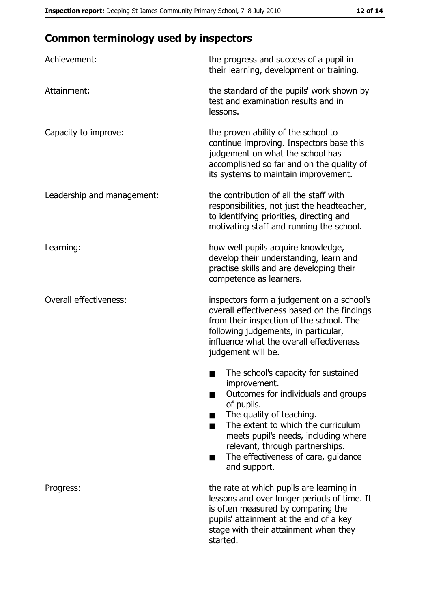# **Common terminology used by inspectors**

| Achievement:                  | the progress and success of a pupil in<br>their learning, development or training.                                                                                                                                                                                                                           |
|-------------------------------|--------------------------------------------------------------------------------------------------------------------------------------------------------------------------------------------------------------------------------------------------------------------------------------------------------------|
| Attainment:                   | the standard of the pupils' work shown by<br>test and examination results and in<br>lessons.                                                                                                                                                                                                                 |
| Capacity to improve:          | the proven ability of the school to<br>continue improving. Inspectors base this<br>judgement on what the school has<br>accomplished so far and on the quality of<br>its systems to maintain improvement.                                                                                                     |
| Leadership and management:    | the contribution of all the staff with<br>responsibilities, not just the headteacher,<br>to identifying priorities, directing and<br>motivating staff and running the school.                                                                                                                                |
| Learning:                     | how well pupils acquire knowledge,<br>develop their understanding, learn and<br>practise skills and are developing their<br>competence as learners.                                                                                                                                                          |
| <b>Overall effectiveness:</b> | inspectors form a judgement on a school's<br>overall effectiveness based on the findings<br>from their inspection of the school. The<br>following judgements, in particular,<br>influence what the overall effectiveness<br>judgement will be.                                                               |
|                               | The school's capacity for sustained<br>improvement.<br>Outcomes for individuals and groups<br>of pupils.<br>The quality of teaching.<br>The extent to which the curriculum<br>meets pupil's needs, including where<br>relevant, through partnerships.<br>The effectiveness of care, guidance<br>and support. |
| Progress:                     | the rate at which pupils are learning in<br>lessons and over longer periods of time. It<br>is often measured by comparing the<br>pupils' attainment at the end of a key<br>stage with their attainment when they<br>started.                                                                                 |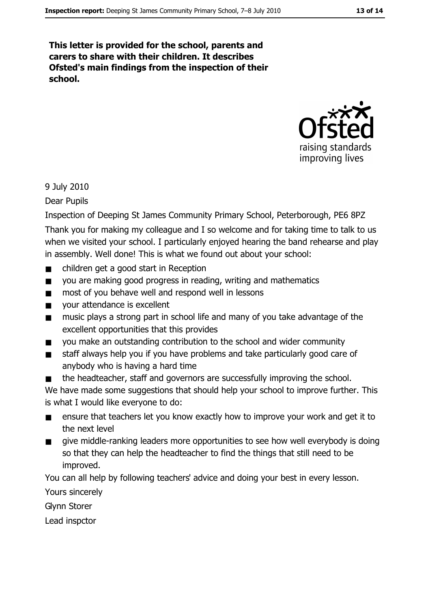This letter is provided for the school, parents and carers to share with their children. It describes Ofsted's main findings from the inspection of their school.



#### 9 July 2010

Dear Pupils

Inspection of Deeping St James Community Primary School, Peterborough, PE6 8PZ

Thank you for making my colleague and I so welcome and for taking time to talk to us when we visited your school. I particularly enjoyed hearing the band rehearse and play in assembly. Well done! This is what we found out about your school:

- children get a good start in Reception
- you are making good progress in reading, writing and mathematics  $\blacksquare$
- most of you behave well and respond well in lessons  $\blacksquare$
- your attendance is excellent  $\blacksquare$
- music plays a strong part in school life and many of you take advantage of the excellent opportunities that this provides
- you make an outstanding contribution to the school and wider community  $\blacksquare$
- staff always help you if you have problems and take particularly good care of  $\blacksquare$ anybody who is having a hard time
- the headteacher, staff and governors are successfully improving the school.  $\blacksquare$

We have made some suggestions that should help your school to improve further. This is what I would like everyone to do:

- ensure that teachers let you know exactly how to improve your work and get it to  $\blacksquare$ the next level
- give middle-ranking leaders more opportunities to see how well everybody is doing  $\blacksquare$ so that they can help the headteacher to find the things that still need to be improved.

You can all help by following teachers' advice and doing your best in every lesson.

Yours sincerely

**Glynn Storer** 

Lead inspctor